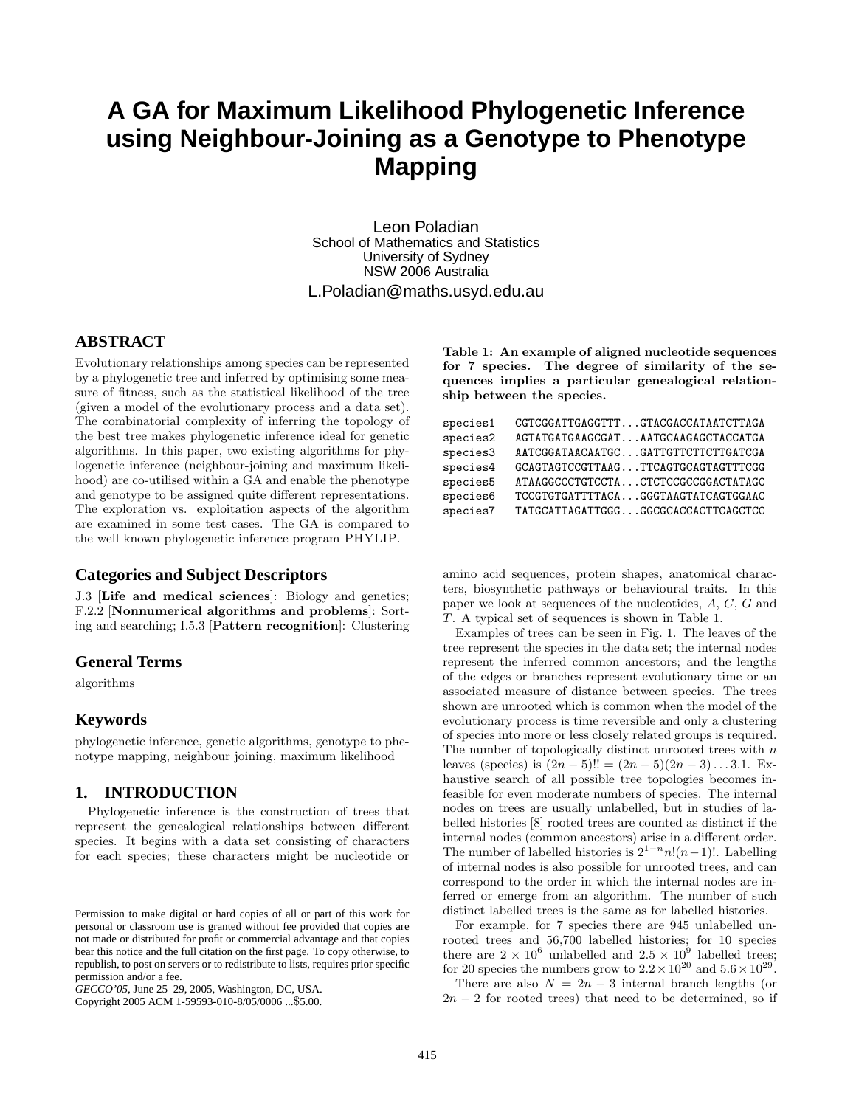# **A GA for Maximum Likelihood Phylogenetic Inference using Neighbour-Joining as a Genotype to Phenotype Mapping**

Leon Poladian School of Mathematics and Statistics University of Sydney NSW 2006 Australia L.Poladian@maths.usyd.edu.au

# **ABSTRACT**

Evolutionary relationships among species can be represented by a phylogenetic tree and inferred by optimising some measure of fitness, such as the statistical likelihood of the tree (given a model of the evolutionary process and a data set). The combinatorial complexity of inferring the topology of the best tree makes phylogenetic inference ideal for genetic algorithms. In this paper, two existing algorithms for phylogenetic inference (neighbour-joining and maximum likelihood) are co-utilised within a GA and enable the phenotype and genotype to be assigned quite different representations. The exploration vs. exploitation aspects of the algorithm are examined in some test cases. The GA is compared to the well known phylogenetic inference program PHYLIP.

## **Categories and Subject Descriptors**

J.3 [Life and medical sciences]: Biology and genetics; F.2.2 [Nonnumerical algorithms and problems]: Sorting and searching; I.5.3 [Pattern recognition]: Clustering

## **General Terms**

algorithms

## **Keywords**

phylogenetic inference, genetic algorithms, genotype to phenotype mapping, neighbour joining, maximum likelihood

## **1. INTRODUCTION**

Phylogenetic inference is the construction of trees that represent the genealogical relationships between different species. It begins with a data set consisting of characters for each species; these characters might be nucleotide or

Copyright 2005 ACM 1-59593-010-8/05/0006 ...\$5.00.

Table 1: An example of aligned nucleotide sequences for 7 species. The degree of similarity of the sequences implies a particular genealogical relationship between the species.

| species1 | CGTCGGATTGAGGTTTGTACGACCATAATCTTAGA |
|----------|-------------------------------------|
| species2 | AGTATGATGAAGCGATAATGCAAGAGCTACCATGA |
| species3 | AATCGGATAACAATGCGATTGTTCTTCTTGATCGA |
| species4 | GCAGTAGTCCGTTAAGTTCAGTGCAGTAGTTTCGG |
| species5 | ATAAGGCCCTGTCCTACTCTCCGCCCGACTATAGC |
| species6 | TCCGTGTGATTTTACAGGGTAAGTATCAGTGGAAC |
| species7 | TATGCATTAGATTGGGGGCGCACCACTTCAGCTCC |

amino acid sequences, protein shapes, anatomical characters, biosynthetic pathways or behavioural traits. In this paper we look at sequences of the nucleotides, A, C, G and T. A typical set of sequences is shown in Table 1.

Examples of trees can be seen in Fig. 1. The leaves of the tree represent the species in the data set; the internal nodes represent the inferred common ancestors; and the lengths of the edges or branches represent evolutionary time or an associated measure of distance between species. The trees shown are unrooted which is common when the model of the evolutionary process is time reversible and only a clustering of species into more or less closely related groups is required. The number of topologically distinct unrooted trees with  $n$ leaves (species) is  $(2n-5)!! = (2n-5)(2n-3)...3.1$ . Exhaustive search of all possible tree topologies becomes infeasible for even moderate numbers of species. The internal nodes on trees are usually unlabelled, but in studies of labelled histories [8] rooted trees are counted as distinct if the internal nodes (common ancestors) arise in a different order. The number of labelled histories is  $2^{1-n}n!(n-1)!$ . Labelling of internal nodes is also possible for unrooted trees, and can correspond to the order in which the internal nodes are inferred or emerge from an algorithm. The number of such distinct labelled trees is the same as for labelled histories.

For example, for 7 species there are 945 unlabelled unrooted trees and 56,700 labelled histories; for 10 species there are  $2 \times 10^6$  unlabelled and  $2.5 \times 10^9$  labelled trees; for 20 species the numbers grow to  $2.2 \times 10^{20}$  and  $5.6 \times 10^{29}$ .

There are also  $N = 2n - 3$  internal branch lengths (or  $2n - 2$  for rooted trees) that need to be determined, so if

Permission to make digital or hard copies of all or part of this work for personal or classroom use is granted without fee provided that copies are not made or distributed for profit or commercial advantage and that copies bear this notice and the full citation on the first page. To copy otherwise, to republish, to post on servers or to redistribute to lists, requires prior specific permission and/or a fee.

*GECCO'05,* June 25–29, 2005, Washington, DC, USA.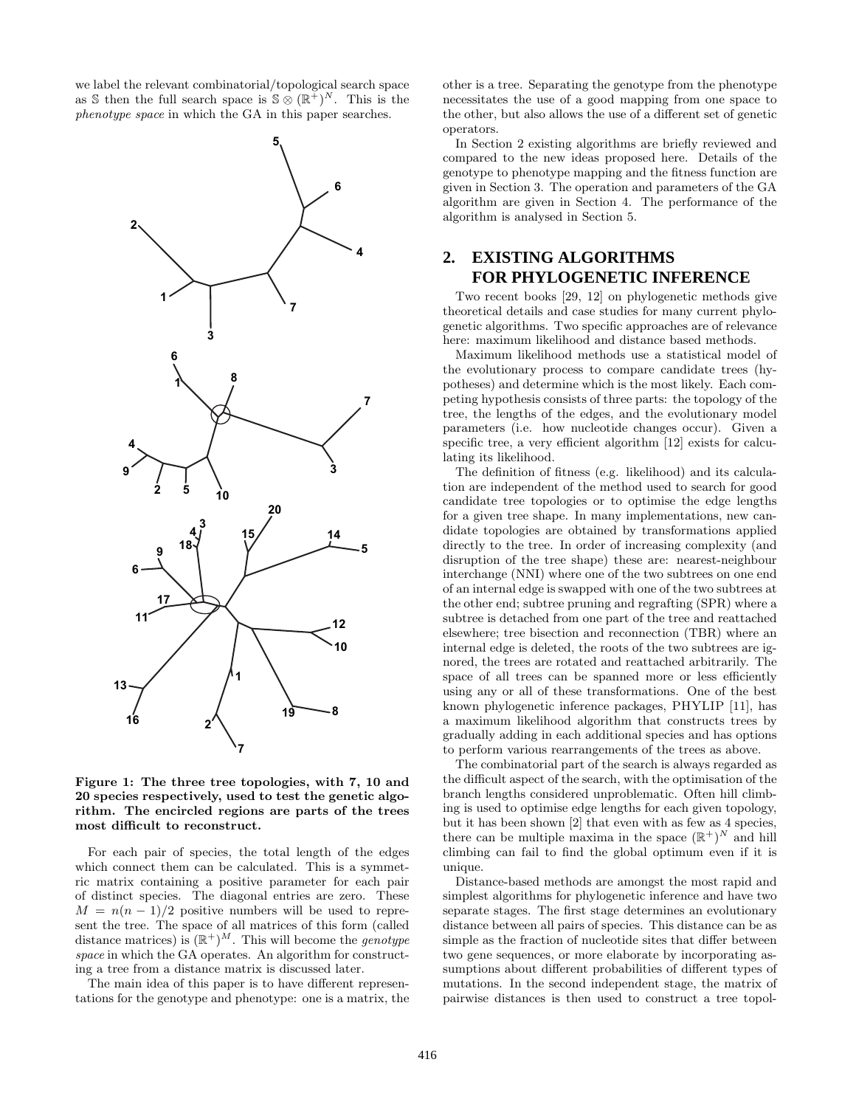we label the relevant combinatorial/topological search space as S then the full search space is  $\mathbb{S} \otimes (\mathbb{R}^{\bar{+}})^N$ . This is the phenotype space in which the GA in this paper searches.



Figure 1: The three tree topologies, with 7, 10 and 20 species respectively, used to test the genetic algorithm. The encircled regions are parts of the trees most difficult to reconstruct.

For each pair of species, the total length of the edges which connect them can be calculated. This is a symmetric matrix containing a positive parameter for each pair of distinct species. The diagonal entries are zero. These  $M = n(n-1)/2$  positive numbers will be used to represent the tree. The space of all matrices of this form (called distance matrices) is  $(\mathbb{R}^+)^M$ . This will become the *genotype* space in which the GA operates. An algorithm for constructing a tree from a distance matrix is discussed later.

The main idea of this paper is to have different representations for the genotype and phenotype: one is a matrix, the other is a tree. Separating the genotype from the phenotype necessitates the use of a good mapping from one space to the other, but also allows the use of a different set of genetic operators.

In Section 2 existing algorithms are briefly reviewed and compared to the new ideas proposed here. Details of the genotype to phenotype mapping and the fitness function are given in Section 3. The operation and parameters of the GA algorithm are given in Section 4. The performance of the algorithm is analysed in Section 5.

# **2. EXISTING ALGORITHMS FOR PHYLOGENETIC INFERENCE**

Two recent books [29, 12] on phylogenetic methods give theoretical details and case studies for many current phylogenetic algorithms. Two specific approaches are of relevance here: maximum likelihood and distance based methods.

Maximum likelihood methods use a statistical model of the evolutionary process to compare candidate trees (hypotheses) and determine which is the most likely. Each competing hypothesis consists of three parts: the topology of the tree, the lengths of the edges, and the evolutionary model parameters (i.e. how nucleotide changes occur). Given a specific tree, a very efficient algorithm [12] exists for calculating its likelihood.

The definition of fitness (e.g. likelihood) and its calculation are independent of the method used to search for good candidate tree topologies or to optimise the edge lengths for a given tree shape. In many implementations, new candidate topologies are obtained by transformations applied directly to the tree. In order of increasing complexity (and disruption of the tree shape) these are: nearest-neighbour interchange (NNI) where one of the two subtrees on one end of an internal edge is swapped with one of the two subtrees at the other end; subtree pruning and regrafting (SPR) where a subtree is detached from one part of the tree and reattached elsewhere; tree bisection and reconnection (TBR) where an internal edge is deleted, the roots of the two subtrees are ignored, the trees are rotated and reattached arbitrarily. The space of all trees can be spanned more or less efficiently using any or all of these transformations. One of the best known phylogenetic inference packages, PHYLIP [11], has a maximum likelihood algorithm that constructs trees by gradually adding in each additional species and has options to perform various rearrangements of the trees as above.

The combinatorial part of the search is always regarded as the difficult aspect of the search, with the optimisation of the branch lengths considered unproblematic. Often hill climbing is used to optimise edge lengths for each given topology, but it has been shown [2] that even with as few as 4 species, there can be multiple maxima in the space  $(\mathbb{R}^+)^N$  and hill climbing can fail to find the global optimum even if it is unique.

Distance-based methods are amongst the most rapid and simplest algorithms for phylogenetic inference and have two separate stages. The first stage determines an evolutionary distance between all pairs of species. This distance can be as simple as the fraction of nucleotide sites that differ between two gene sequences, or more elaborate by incorporating assumptions about different probabilities of different types of mutations. In the second independent stage, the matrix of pairwise distances is then used to construct a tree topol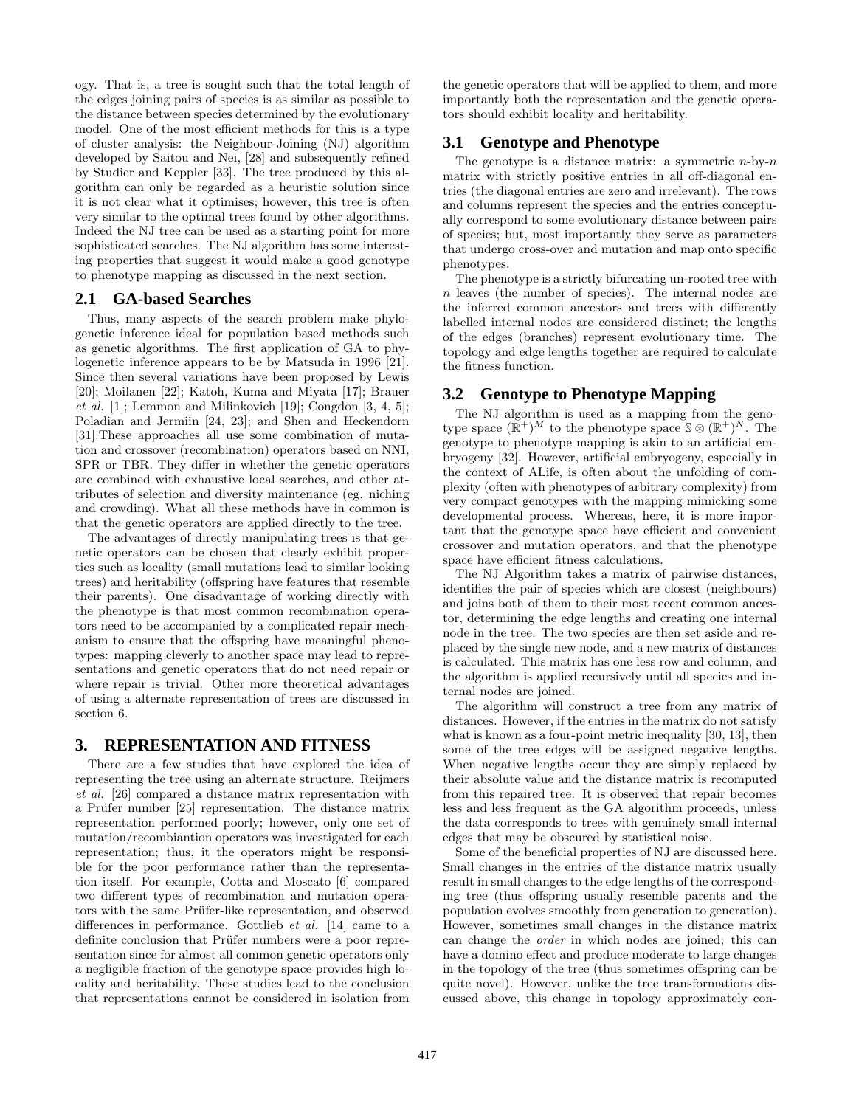ogy. That is, a tree is sought such that the total length of the edges joining pairs of species is as similar as possible to the distance between species determined by the evolutionary model. One of the most efficient methods for this is a type of cluster analysis: the Neighbour-Joining (NJ) algorithm developed by Saitou and Nei, [28] and subsequently refined by Studier and Keppler [33]. The tree produced by this algorithm can only be regarded as a heuristic solution since it is not clear what it optimises; however, this tree is often very similar to the optimal trees found by other algorithms. Indeed the NJ tree can be used as a starting point for more sophisticated searches. The NJ algorithm has some interesting properties that suggest it would make a good genotype to phenotype mapping as discussed in the next section.

## **2.1 GA-based Searches**

Thus, many aspects of the search problem make phylogenetic inference ideal for population based methods such as genetic algorithms. The first application of GA to phylogenetic inference appears to be by Matsuda in 1996 [21]. Since then several variations have been proposed by Lewis [20]; Moilanen [22]; Katoh, Kuma and Miyata [17]; Brauer  $et \ al.$  [1]; Lemmon and Milinkovich [19]; Congdon [3, 4, 5]; Poladian and Jermiin [24, 23]; and Shen and Heckendorn [31].These approaches all use some combination of mutation and crossover (recombination) operators based on NNI, SPR or TBR. They differ in whether the genetic operators are combined with exhaustive local searches, and other attributes of selection and diversity maintenance (eg. niching and crowding). What all these methods have in common is that the genetic operators are applied directly to the tree.

The advantages of directly manipulating trees is that genetic operators can be chosen that clearly exhibit properties such as locality (small mutations lead to similar looking trees) and heritability (offspring have features that resemble their parents). One disadvantage of working directly with the phenotype is that most common recombination operators need to be accompanied by a complicated repair mechanism to ensure that the offspring have meaningful phenotypes: mapping cleverly to another space may lead to representations and genetic operators that do not need repair or where repair is trivial. Other more theoretical advantages of using a alternate representation of trees are discussed in section 6.

## **3. REPRESENTATION AND FITNESS**

There are a few studies that have explored the idea of representing the tree using an alternate structure. Reijmers et al. [26] compared a distance matrix representation with a Prüfer number [25] representation. The distance matrix representation performed poorly; however, only one set of mutation/recombiantion operators was investigated for each representation; thus, it the operators might be responsible for the poor performance rather than the representation itself. For example, Cotta and Moscato [6] compared two different types of recombination and mutation operators with the same Prüfer-like representation, and observed differences in performance. Gottlieb et al. [14] came to a definite conclusion that Prüfer numbers were a poor representation since for almost all common genetic operators only a negligible fraction of the genotype space provides high locality and heritability. These studies lead to the conclusion that representations cannot be considered in isolation from

the genetic operators that will be applied to them, and more importantly both the representation and the genetic operators should exhibit locality and heritability.

## **3.1 Genotype and Phenotype**

The genotype is a distance matrix: a symmetric  $n$ -by- $n$ matrix with strictly positive entries in all off-diagonal entries (the diagonal entries are zero and irrelevant). The rows and columns represent the species and the entries conceptually correspond to some evolutionary distance between pairs of species; but, most importantly they serve as parameters that undergo cross-over and mutation and map onto specific phenotypes.

The phenotype is a strictly bifurcating un-rooted tree with n leaves (the number of species). The internal nodes are the inferred common ancestors and trees with differently labelled internal nodes are considered distinct; the lengths of the edges (branches) represent evolutionary time. The topology and edge lengths together are required to calculate the fitness function.

## **3.2 Genotype to Phenotype Mapping**

The NJ algorithm is used as a mapping from the genotype space  $(\mathbb{R}^+)^M$  to the phenotype space  $\mathbb{S} \otimes (\mathbb{R}^+)^N$ . The genotype to phenotype mapping is akin to an artificial embryogeny [32]. However, artificial embryogeny, especially in the context of ALife, is often about the unfolding of complexity (often with phenotypes of arbitrary complexity) from very compact genotypes with the mapping mimicking some developmental process. Whereas, here, it is more important that the genotype space have efficient and convenient crossover and mutation operators, and that the phenotype space have efficient fitness calculations.

The NJ Algorithm takes a matrix of pairwise distances, identifies the pair of species which are closest (neighbours) and joins both of them to their most recent common ancestor, determining the edge lengths and creating one internal node in the tree. The two species are then set aside and replaced by the single new node, and a new matrix of distances is calculated. This matrix has one less row and column, and the algorithm is applied recursively until all species and internal nodes are joined.

The algorithm will construct a tree from any matrix of distances. However, if the entries in the matrix do not satisfy what is known as a four-point metric inequality [30, 13], then some of the tree edges will be assigned negative lengths. When negative lengths occur they are simply replaced by their absolute value and the distance matrix is recomputed from this repaired tree. It is observed that repair becomes less and less frequent as the GA algorithm proceeds, unless the data corresponds to trees with genuinely small internal edges that may be obscured by statistical noise.

Some of the beneficial properties of NJ are discussed here. Small changes in the entries of the distance matrix usually result in small changes to the edge lengths of the corresponding tree (thus offspring usually resemble parents and the population evolves smoothly from generation to generation). However, sometimes small changes in the distance matrix can change the order in which nodes are joined; this can have a domino effect and produce moderate to large changes in the topology of the tree (thus sometimes offspring can be quite novel). However, unlike the tree transformations discussed above, this change in topology approximately con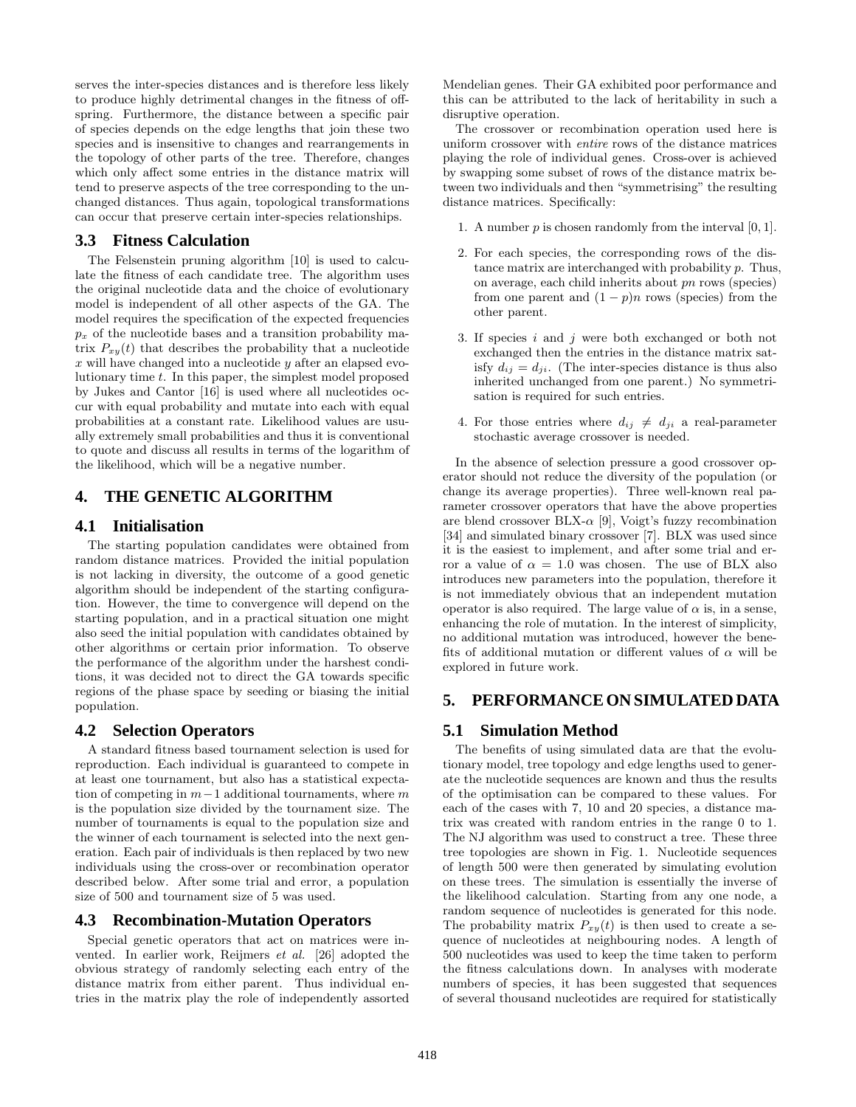serves the inter-species distances and is therefore less likely to produce highly detrimental changes in the fitness of offspring. Furthermore, the distance between a specific pair of species depends on the edge lengths that join these two species and is insensitive to changes and rearrangements in the topology of other parts of the tree. Therefore, changes which only affect some entries in the distance matrix will tend to preserve aspects of the tree corresponding to the unchanged distances. Thus again, topological transformations can occur that preserve certain inter-species relationships.

## **3.3 Fitness Calculation**

The Felsenstein pruning algorithm [10] is used to calculate the fitness of each candidate tree. The algorithm uses the original nucleotide data and the choice of evolutionary model is independent of all other aspects of the GA. The model requires the specification of the expected frequencies  $p_x$  of the nucleotide bases and a transition probability matrix  $P_{xy}(t)$  that describes the probability that a nucleotide  $x$  will have changed into a nucleotide  $y$  after an elapsed evolutionary time  $t$ . In this paper, the simplest model proposed by Jukes and Cantor [16] is used where all nucleotides occur with equal probability and mutate into each with equal probabilities at a constant rate. Likelihood values are usually extremely small probabilities and thus it is conventional to quote and discuss all results in terms of the logarithm of the likelihood, which will be a negative number.

# **4. THE GENETIC ALGORITHM**

## **4.1 Initialisation**

The starting population candidates were obtained from random distance matrices. Provided the initial population is not lacking in diversity, the outcome of a good genetic algorithm should be independent of the starting configuration. However, the time to convergence will depend on the starting population, and in a practical situation one might also seed the initial population with candidates obtained by other algorithms or certain prior information. To observe the performance of the algorithm under the harshest conditions, it was decided not to direct the GA towards specific regions of the phase space by seeding or biasing the initial population.

## **4.2 Selection Operators**

A standard fitness based tournament selection is used for reproduction. Each individual is guaranteed to compete in at least one tournament, but also has a statistical expectation of competing in  $m-1$  additional tournaments, where m is the population size divided by the tournament size. The number of tournaments is equal to the population size and the winner of each tournament is selected into the next generation. Each pair of individuals is then replaced by two new individuals using the cross-over or recombination operator described below. After some trial and error, a population size of 500 and tournament size of 5 was used.

## **4.3 Recombination-Mutation Operators**

Special genetic operators that act on matrices were invented. In earlier work, Reijmers et al. [26] adopted the obvious strategy of randomly selecting each entry of the distance matrix from either parent. Thus individual entries in the matrix play the role of independently assorted

Mendelian genes. Their GA exhibited poor performance and this can be attributed to the lack of heritability in such a disruptive operation.

The crossover or recombination operation used here is uniform crossover with entire rows of the distance matrices playing the role of individual genes. Cross-over is achieved by swapping some subset of rows of the distance matrix between two individuals and then "symmetrising" the resulting distance matrices. Specifically:

- 1. A number  $p$  is chosen randomly from the interval  $[0, 1]$ .
- 2. For each species, the corresponding rows of the distance matrix are interchanged with probability p. Thus, on average, each child inherits about pn rows (species) from one parent and  $(1 - p)n$  rows (species) from the other parent.
- 3. If species  $i$  and  $j$  were both exchanged or both not exchanged then the entries in the distance matrix satisfy  $d_{ij} = d_{ji}$ . (The inter-species distance is thus also inherited unchanged from one parent.) No symmetrisation is required for such entries.
- 4. For those entries where  $d_{ij} \neq d_{ji}$  a real-parameter stochastic average crossover is needed.

In the absence of selection pressure a good crossover operator should not reduce the diversity of the population (or change its average properties). Three well-known real parameter crossover operators that have the above properties are blend crossover  $BLX-\alpha$  [9], Voigt's fuzzy recombination [34] and simulated binary crossover [7]. BLX was used since it is the easiest to implement, and after some trial and error a value of  $\alpha = 1.0$  was chosen. The use of BLX also introduces new parameters into the population, therefore it is not immediately obvious that an independent mutation operator is also required. The large value of  $\alpha$  is, in a sense, enhancing the role of mutation. In the interest of simplicity, no additional mutation was introduced, however the benefits of additional mutation or different values of  $\alpha$  will be explored in future work.

## **5. PERFORMANCE ON SIMULATED DATA**

## **5.1 Simulation Method**

The benefits of using simulated data are that the evolutionary model, tree topology and edge lengths used to generate the nucleotide sequences are known and thus the results of the optimisation can be compared to these values. For each of the cases with 7, 10 and 20 species, a distance matrix was created with random entries in the range 0 to 1. The NJ algorithm was used to construct a tree. These three tree topologies are shown in Fig. 1. Nucleotide sequences of length 500 were then generated by simulating evolution on these trees. The simulation is essentially the inverse of the likelihood calculation. Starting from any one node, a random sequence of nucleotides is generated for this node. The probability matrix  $P_{xy}(t)$  is then used to create a sequence of nucleotides at neighbouring nodes. A length of 500 nucleotides was used to keep the time taken to perform the fitness calculations down. In analyses with moderate numbers of species, it has been suggested that sequences of several thousand nucleotides are required for statistically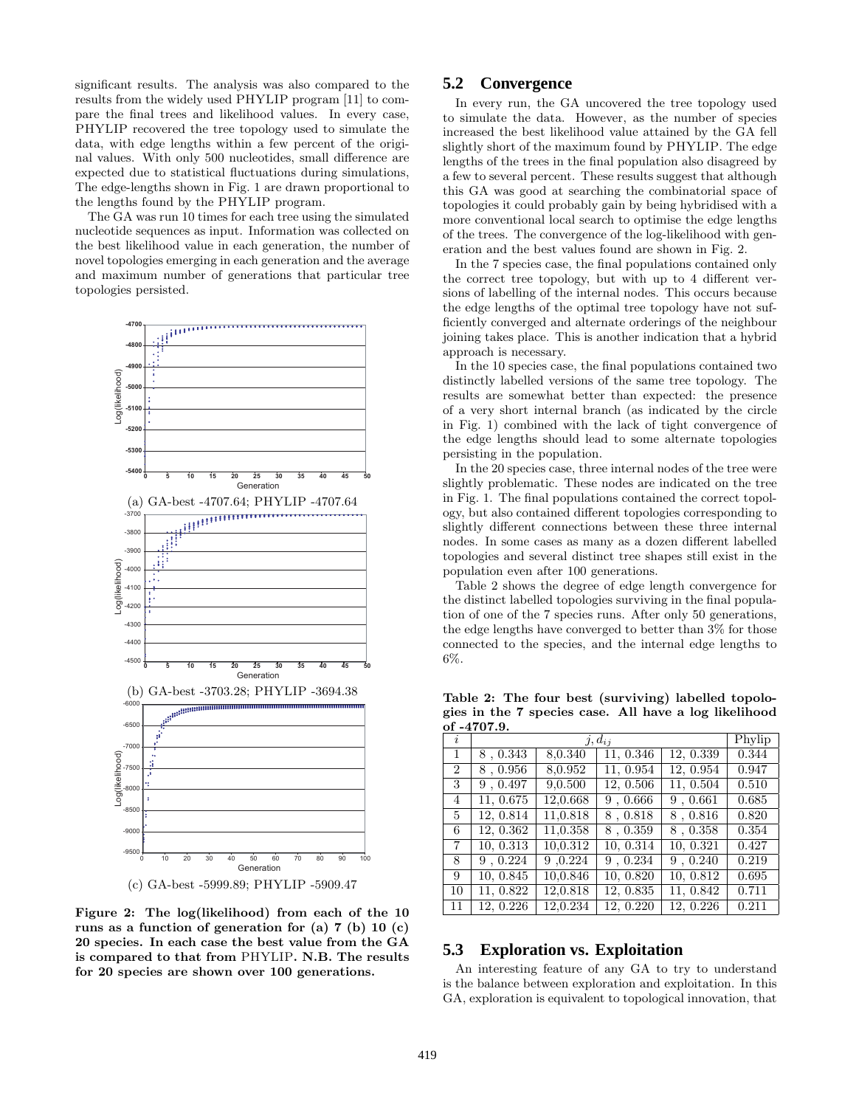significant results. The analysis was also compared to the results from the widely used PHYLIP program [11] to compare the final trees and likelihood values. In every case, PHYLIP recovered the tree topology used to simulate the data, with edge lengths within a few percent of the original values. With only 500 nucleotides, small difference are expected due to statistical fluctuations during simulations, The edge-lengths shown in Fig. 1 are drawn proportional to the lengths found by the PHYLIP program.

The GA was run 10 times for each tree using the simulated nucleotide sequences as input. Information was collected on the best likelihood value in each generation, the number of novel topologies emerging in each generation and the average and maximum number of generations that particular tree topologies persisted.



Figure 2: The log(likelihood) from each of the 10 runs as a function of generation for (a) 7 (b) 10 (c) 20 species. In each case the best value from the GA

is compared to that from PHYLIP. N.B. The results for 20 species are shown over 100 generations.

#### **5.2 Convergence**

In every run, the GA uncovered the tree topology used to simulate the data. However, as the number of species increased the best likelihood value attained by the GA fell slightly short of the maximum found by PHYLIP. The edge lengths of the trees in the final population also disagreed by a few to several percent. These results suggest that although this GA was good at searching the combinatorial space of topologies it could probably gain by being hybridised with a more conventional local search to optimise the edge lengths of the trees. The convergence of the log-likelihood with generation and the best values found are shown in Fig. 2.

In the 7 species case, the final populations contained only the correct tree topology, but with up to 4 different versions of labelling of the internal nodes. This occurs because the edge lengths of the optimal tree topology have not sufficiently converged and alternate orderings of the neighbour joining takes place. This is another indication that a hybrid approach is necessary.

In the 10 species case, the final populations contained two distinctly labelled versions of the same tree topology. The results are somewhat better than expected: the presence of a very short internal branch (as indicated by the circle in Fig. 1) combined with the lack of tight convergence of the edge lengths should lead to some alternate topologies persisting in the population.

In the 20 species case, three internal nodes of the tree were slightly problematic. These nodes are indicated on the tree in Fig. 1. The final populations contained the correct topology, but also contained different topologies corresponding to slightly different connections between these three internal nodes. In some cases as many as a dozen different labelled topologies and several distinct tree shapes still exist in the population even after 100 generations.

Table 2 shows the degree of edge length convergence for the distinct labelled topologies surviving in the final population of one of the 7 species runs. After only 50 generations, the edge lengths have converged to better than 3% for those connected to the species, and the internal edge lengths to 6%.

| of -4707.9.    |           |          |           |           |       |  |  |
|----------------|-----------|----------|-----------|-----------|-------|--|--|
| i.             |           | Phylip   |           |           |       |  |  |
| 1              | 8, 0.343  | 8,0.340  | 11, 0.346 | 12, 0.339 | 0.344 |  |  |
| 2              | 8, 0.956  | 8,0.952  | 11, 0.954 | 12, 0.954 | 0.947 |  |  |
| 3              | 9.0.497   | 9,0.500  | 12, 0.506 | 11, 0.504 | 0.510 |  |  |
| 4              | 11, 0.675 | 12,0.668 | 9.0.666   | 9, 0.661  | 0.685 |  |  |
| $\frac{5}{2}$  | 12, 0.814 | 11,0.818 | 8,0.818   | 8,0.816   | 0.820 |  |  |
| 6              | 12, 0.362 | 11,0.358 | 8, 0.359  | 8, 0.358  | 0.354 |  |  |
| $\overline{7}$ | 10, 0.313 | 10.0.312 | 10, 0.314 | 10, 0.321 | 0.427 |  |  |
| 8              | 9.0.224   | 9,0.224  | 9, 0.234  | 9, 0.240  | 0.219 |  |  |
| 9              | 10, 0.845 | 10,0.846 | 10, 0.820 | 10, 0.812 | 0.695 |  |  |
| 10             | 11, 0.822 | 12,0.818 | 12, 0.835 | 11, 0.842 | 0.711 |  |  |
| 11             | 12, 0.226 | 12,0.234 | 12, 0.220 | 12, 0.226 | 0.211 |  |  |

Table 2: The four best (surviving) labelled topologies in the 7 species case. All have a log likelihood

## **5.3 Exploration vs. Exploitation**

An interesting feature of any GA to try to understand is the balance between exploration and exploitation. In this GA, exploration is equivalent to topological innovation, that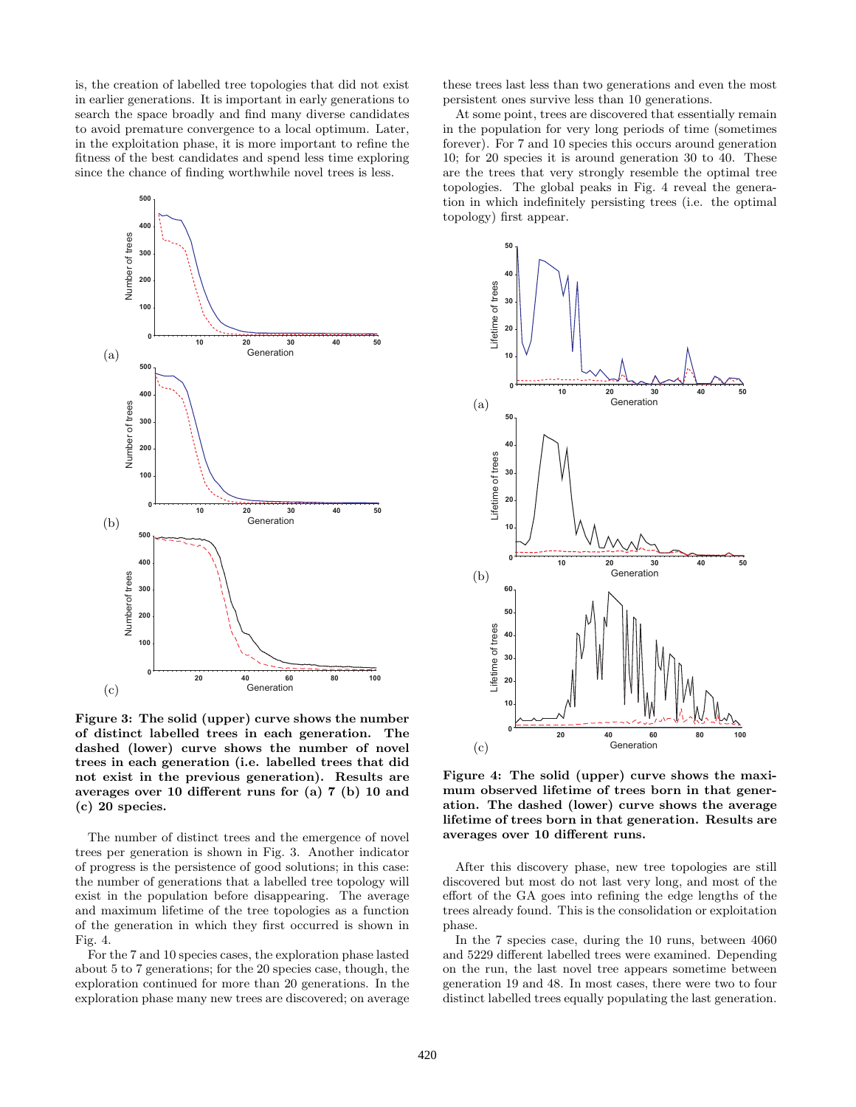is, the creation of labelled tree topologies that did not exist in earlier generations. It is important in early generations to search the space broadly and find many diverse candidates to avoid premature convergence to a local optimum. Later, in the exploitation phase, it is more important to refine the fitness of the best candidates and spend less time exploring since the chance of finding worthwhile novel trees is less.



Figure 3: The solid (upper) curve shows the number of distinct labelled trees in each generation. The dashed (lower) curve shows the number of novel trees in each generation (i.e. labelled trees that did not exist in the previous generation). Results are averages over 10 different runs for (a) 7 (b) 10 and (c) 20 species.

The number of distinct trees and the emergence of novel trees per generation is shown in Fig. 3. Another indicator of progress is the persistence of good solutions; in this case: the number of generations that a labelled tree topology will exist in the population before disappearing. The average and maximum lifetime of the tree topologies as a function of the generation in which they first occurred is shown in Fig. 4.

For the 7 and 10 species cases, the exploration phase lasted about 5 to 7 generations; for the 20 species case, though, the exploration continued for more than 20 generations. In the exploration phase many new trees are discovered; on average these trees last less than two generations and even the most persistent ones survive less than 10 generations.

At some point, trees are discovered that essentially remain in the population for very long periods of time (sometimes forever). For 7 and 10 species this occurs around generation 10; for 20 species it is around generation 30 to 40. These are the trees that very strongly resemble the optimal tree topologies. The global peaks in Fig. 4 reveal the generation in which indefinitely persisting trees (i.e. the optimal topology) first appear.



Figure 4: The solid (upper) curve shows the maximum observed lifetime of trees born in that generation. The dashed (lower) curve shows the average lifetime of trees born in that generation. Results are averages over 10 different runs.

After this discovery phase, new tree topologies are still discovered but most do not last very long, and most of the effort of the GA goes into refining the edge lengths of the trees already found. This is the consolidation or exploitation phase.

In the 7 species case, during the 10 runs, between 4060 and 5229 different labelled trees were examined. Depending on the run, the last novel tree appears sometime between generation 19 and 48. In most cases, there were two to four distinct labelled trees equally populating the last generation.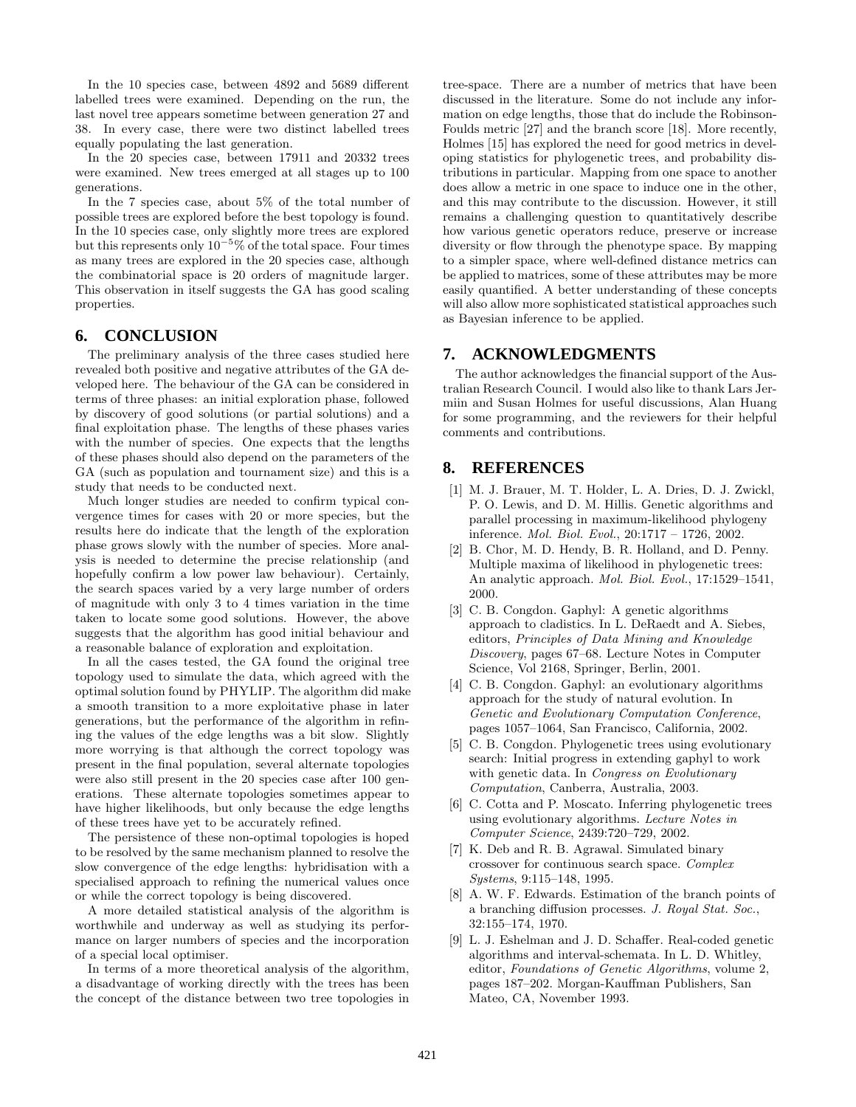In the 10 species case, between 4892 and 5689 different labelled trees were examined. Depending on the run, the last novel tree appears sometime between generation 27 and 38. In every case, there were two distinct labelled trees equally populating the last generation.

In the 20 species case, between 17911 and 20332 trees were examined. New trees emerged at all stages up to 100 generations.

In the 7 species case, about 5% of the total number of possible trees are explored before the best topology is found. In the 10 species case, only slightly more trees are explored but this represents only  $10^{-5}\%$  of the total space. Four times as many trees are explored in the 20 species case, although the combinatorial space is 20 orders of magnitude larger. This observation in itself suggests the GA has good scaling properties.

## **6. CONCLUSION**

The preliminary analysis of the three cases studied here revealed both positive and negative attributes of the GA developed here. The behaviour of the GA can be considered in terms of three phases: an initial exploration phase, followed by discovery of good solutions (or partial solutions) and a final exploitation phase. The lengths of these phases varies with the number of species. One expects that the lengths of these phases should also depend on the parameters of the GA (such as population and tournament size) and this is a study that needs to be conducted next.

Much longer studies are needed to confirm typical convergence times for cases with 20 or more species, but the results here do indicate that the length of the exploration phase grows slowly with the number of species. More analysis is needed to determine the precise relationship (and hopefully confirm a low power law behaviour). Certainly, the search spaces varied by a very large number of orders of magnitude with only 3 to 4 times variation in the time taken to locate some good solutions. However, the above suggests that the algorithm has good initial behaviour and a reasonable balance of exploration and exploitation.

In all the cases tested, the GA found the original tree topology used to simulate the data, which agreed with the optimal solution found by PHYLIP. The algorithm did make a smooth transition to a more exploitative phase in later generations, but the performance of the algorithm in refining the values of the edge lengths was a bit slow. Slightly more worrying is that although the correct topology was present in the final population, several alternate topologies were also still present in the 20 species case after 100 generations. These alternate topologies sometimes appear to have higher likelihoods, but only because the edge lengths of these trees have yet to be accurately refined.

The persistence of these non-optimal topologies is hoped to be resolved by the same mechanism planned to resolve the slow convergence of the edge lengths: hybridisation with a specialised approach to refining the numerical values once or while the correct topology is being discovered.

A more detailed statistical analysis of the algorithm is worthwhile and underway as well as studying its performance on larger numbers of species and the incorporation of a special local optimiser.

In terms of a more theoretical analysis of the algorithm, a disadvantage of working directly with the trees has been the concept of the distance between two tree topologies in tree-space. There are a number of metrics that have been discussed in the literature. Some do not include any information on edge lengths, those that do include the Robinson-Foulds metric [27] and the branch score [18]. More recently, Holmes [15] has explored the need for good metrics in developing statistics for phylogenetic trees, and probability distributions in particular. Mapping from one space to another does allow a metric in one space to induce one in the other, and this may contribute to the discussion. However, it still remains a challenging question to quantitatively describe how various genetic operators reduce, preserve or increase diversity or flow through the phenotype space. By mapping to a simpler space, where well-defined distance metrics can be applied to matrices, some of these attributes may be more easily quantified. A better understanding of these concepts will also allow more sophisticated statistical approaches such as Bayesian inference to be applied.

## **7. ACKNOWLEDGMENTS**

The author acknowledges the financial support of the Australian Research Council. I would also like to thank Lars Jermiin and Susan Holmes for useful discussions, Alan Huang for some programming, and the reviewers for their helpful comments and contributions.

# **8. REFERENCES**

- [1] M. J. Brauer, M. T. Holder, L. A. Dries, D. J. Zwickl, P. O. Lewis, and D. M. Hillis. Genetic algorithms and parallel processing in maximum-likelihood phylogeny inference. *Mol. Biol. Evol.*,  $20:1717 - 1726$ ,  $2002$ .
- [2] B. Chor, M. D. Hendy, B. R. Holland, and D. Penny. Multiple maxima of likelihood in phylogenetic trees: An analytic approach. Mol. Biol. Evol., 17:1529–1541, 2000.
- [3] C. B. Congdon. Gaphyl: A genetic algorithms approach to cladistics. In L. DeRaedt and A. Siebes, editors, Principles of Data Mining and Knowledge Discovery, pages 67–68. Lecture Notes in Computer Science, Vol 2168, Springer, Berlin, 2001.
- [4] C. B. Congdon. Gaphyl: an evolutionary algorithms approach for the study of natural evolution. In Genetic and Evolutionary Computation Conference, pages 1057–1064, San Francisco, California, 2002.
- [5] C. B. Congdon. Phylogenetic trees using evolutionary search: Initial progress in extending gaphyl to work with genetic data. In *Congress on Evolutionary* Computation, Canberra, Australia, 2003.
- [6] C. Cotta and P. Moscato. Inferring phylogenetic trees using evolutionary algorithms. Lecture Notes in Computer Science, 2439:720–729, 2002.
- [7] K. Deb and R. B. Agrawal. Simulated binary crossover for continuous search space. Complex Systems, 9:115–148, 1995.
- [8] A. W. F. Edwards. Estimation of the branch points of a branching diffusion processes. J. Royal Stat. Soc., 32:155–174, 1970.
- [9] L. J. Eshelman and J. D. Schaffer. Real-coded genetic algorithms and interval-schemata. In L. D. Whitley, editor, Foundations of Genetic Algorithms, volume 2, pages 187–202. Morgan-Kauffman Publishers, San Mateo, CA, November 1993.